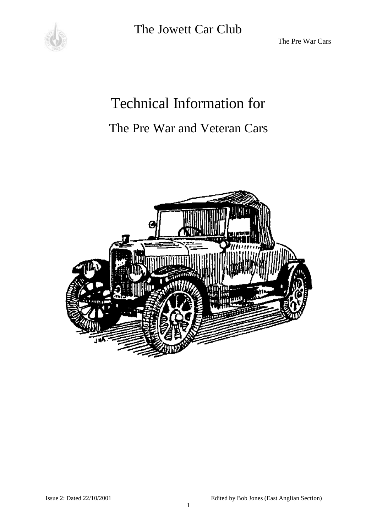

The Pre War Cars

# Technical Information for

# The Pre War and Veteran Cars

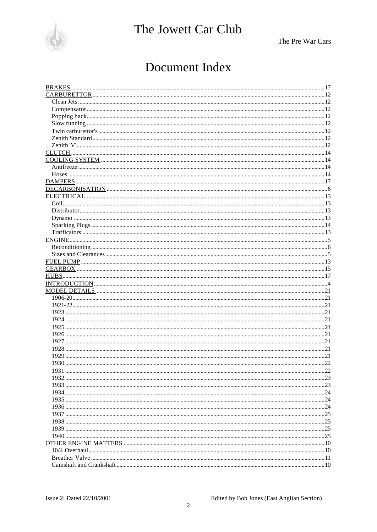

The Pre War Cars

### Document Index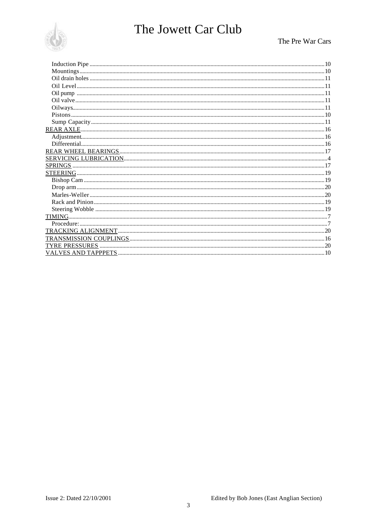

| TYRE PRESSURES |  |
|----------------|--|
|                |  |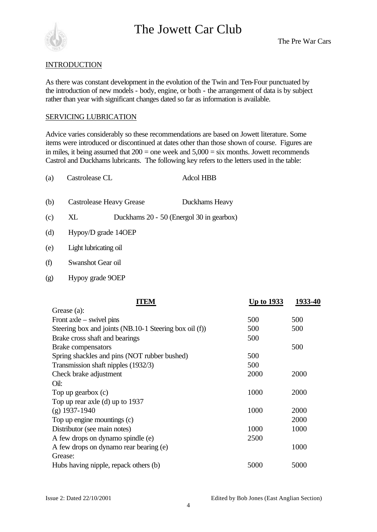

#### **INTRODUCTION**

As there was constant development in the evolution of the Twin and Ten-Four punctuated by the introduction of new models - body, engine, or both - the arrangement of data is by subject rather than year with significant changes dated so far as information is available.

#### SERVICING LUBRICATION

Advice varies considerably so these recommendations are based on Jowett literature. Some items were introduced or discontinued at dates other than those shown of course. Figures are in miles, it being assumed that  $200 =$  one week and  $5,000 =$  six months. Jowett recommends Castrol and Duckhams lubricants. The following key refers to the letters used in the table:

| (a) | Castrolease CL | <b>Adcol HBB</b> |
|-----|----------------|------------------|
|     |                |                  |

- (b) Castrolease Heavy Grease Duckhams Heavy
- (c) XL Duckhams 20 50 (Energol 30 in gearbox)
- (d) Hypoy/D grade 14OEP
- (e) Light lubricating oil
- (f) Swanshot Gear oil
- (g) Hypoy grade 9OEP

| FEM                                                    | <u>Up to 1933</u> | 1933-40 |
|--------------------------------------------------------|-------------------|---------|
| Grease $(a)$ :                                         |                   |         |
| Front $axle - swivel$ pins                             | 500               | 500     |
| Steering box and joints (NB.10-1 Steering box oil (f)) | 500               | 500     |
| Brake cross shaft and bearings                         | 500               |         |
| <b>Brake compensators</b>                              |                   | 500     |
| Spring shackles and pins (NOT rubber bushed)           | 500               |         |
| Transmission shaft nipples (1932/3)                    | 500               |         |
| Check brake adjustment                                 | 2000              | 2000    |
| Oil:                                                   |                   |         |
| Top up gearbox (c)                                     | 1000              | 2000    |
| Top up rear axle (d) up to $1937$                      |                   |         |
| $(g)$ 1937-1940                                        | 1000              | 2000    |
| Top up engine mountings (c)                            |                   | 2000    |
| Distributor (see main notes)                           | 1000              | 1000    |
| A few drops on dynamo spindle (e)                      | 2500              |         |
| A few drops on dynamo rear bearing (e)                 |                   | 1000    |
| Grease:                                                |                   |         |
| Hubs having nipple, repack others (b)                  | 5000              | 5000    |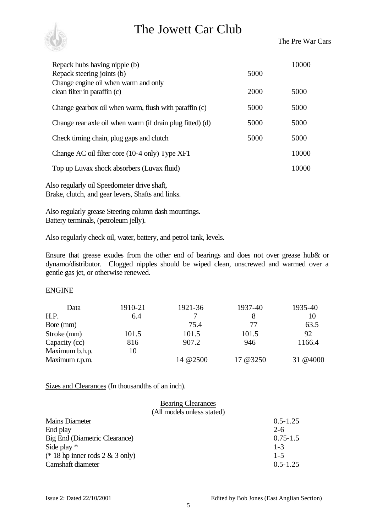

The Pre War Cars

| Repack hubs having nipple (b)<br>Repack steering joints (b)<br>Change engine oil when warm and only | 5000 | 10000 |
|-----------------------------------------------------------------------------------------------------|------|-------|
| clean filter in paraffin (c)                                                                        | 2000 | 5000  |
| Change gearbox oil when warm, flush with paraffin (c)                                               | 5000 | 5000  |
| Change rear axle oil when warm (if drain plug fitted) (d)                                           | 5000 | 5000  |
| Check timing chain, plug gaps and clutch                                                            | 5000 | 5000  |
| Change AC oil filter core (10-4 only) Type XF1                                                      |      | 10000 |
| Top up Luvax shock absorbers (Luvax fluid)                                                          |      | 10000 |
|                                                                                                     |      |       |

Also regularly oil Speedometer drive shaft, Brake, clutch, and gear levers, Shafts and links.

Also regularly grease Steering column dash mountings. Battery terminals, (petroleum jelly).

Also regularly check oil, water, battery, and petrol tank, levels.

Ensure that grease exudes from the other end of bearings and does not over grease hub& or dynamo/distributor. Clogged nipples should be wiped clean, unscrewed and warmed over a gentle gas jet, or otherwise renewed.

#### ENGINE

| 1910-21 | 1921-36   | 1937-40   | 1935-40  |
|---------|-----------|-----------|----------|
| 6.4     |           | 8         | 10       |
|         | 75.4      | 77        | 63.5     |
| 101.5   | 101.5     | 101.5     | 92       |
| 816     | 907.2     | 946       | 1166.4   |
| 10      |           |           |          |
|         | 14 @ 2500 | 17 @ 3250 | 31 @4000 |
|         |           |           |          |

Sizes and Clearances (In thousandths of an inch).

| <b>Bearing Clearances</b>          |              |
|------------------------------------|--------------|
| (All models unless stated)         |              |
| <b>Mains Diameter</b>              | $0.5 - 1.25$ |
| End play                           | $2 - 6$      |
| Big End (Diametric Clearance)      | $0.75 - 1.5$ |
| Side play $*$                      | $1 - 3$      |
| (* 18 hp inner rods 2 $\&$ 3 only) | $1 - 5$      |
| Camshaft diameter                  | $0.5 - 1.25$ |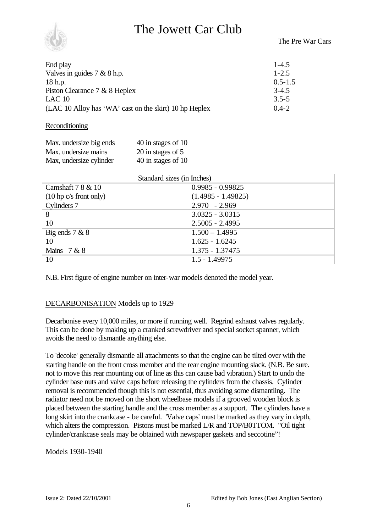

The Pre War Cars

| End play                                               | $1 - 4.5$   |
|--------------------------------------------------------|-------------|
| Valves in guides $7 & 8$ h.p.                          | $1 - 2.5$   |
| $18$ h.p.                                              | $0.5 - 1.5$ |
| Piston Clearance $7 & 8$ Heplex                        | $3-4.5$     |
| LAC10                                                  | $3.5 - 5$   |
| (LAC 10 Alloy has 'WA' cast on the skirt) 10 hp Heplex | $0.4 - 2$   |

#### Reconditioning

| Max. undersize big ends | 40 in stages of 10  |
|-------------------------|---------------------|
| Max. undersize mains    | $20$ in stages of 5 |
| Max, undersize cylinder | 40 in stages of 10  |

| Standard sizes (in Inches)       |                      |  |  |  |
|----------------------------------|----------------------|--|--|--|
| Camshaft 7 8 & 10                | $0.9985 - 0.99825$   |  |  |  |
| $(10 \text{ hp c/s}$ front only) | $(1.4985 - 1.49825)$ |  |  |  |
| Cylinders 7                      | $2.970 - 2.969$      |  |  |  |
| 8                                | $3.0325 - 3.0315$    |  |  |  |
| 10                               | $2.5005 - 2.4995$    |  |  |  |
| Big ends $7 & 8$                 | $1.500 - 1.4995$     |  |  |  |
| 10                               | $1.625 - 1.6245$     |  |  |  |
| Mains $7 & 8$                    | $1.375 - 1.37475$    |  |  |  |
| 10                               | $1.5 - 1.49975$      |  |  |  |

N.B. First figure of engine number on inter-war models denoted the model year.

#### DECARBONISATION Models up to 1929

Decarbonise every 10,000 miles, or more if running well. Regrind exhaust valves regularly. This can be done by making up a cranked screwdriver and special socket spanner, which avoids the need to dismantle anything else.

To 'decoke' generally dismantle all attachments so that the engine can be tilted over with the starting handle on the front cross member and the rear engine mounting slack. (N.B. Be sure. not to move this rear mounting out of line as this can cause bad vibration.) Start to undo the cylinder base nuts and valve caps before releasing the cylinders from the chassis. Cylinder removal is recommended though this is not essential, thus avoiding some dismantling. The radiator need not be moved on the short wheelbase models if a grooved wooden block is placed between the starting handle and the cross member as a support. The cylinders have a long skirt into the crankcase - be careful. 'Valve caps' must be marked as they vary in depth, which alters the compression. Pistons must be marked L/R and TOP/B0TTOM. "Oil tight cylinder/crankcase seals may be obtained with newspaper gaskets and seccotine"!

Models 1930-1940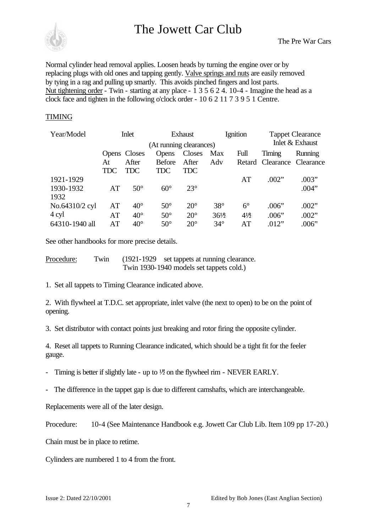

Normal cylinder head removal applies. Loosen heads by turning the engine over or by replacing plugs with old ones and tapping gently. Valve springs and nuts are easily removed by tying in a rag and pulling up smartly. This avoids pinched fingers and lost parts. Nut tightening order - Twin - starting at any place - 1 3 5 6 2 4. 10-4 - Imagine the head as a clock face and tighten in the following o'clock order - 10 6 2 11 7 3 9 5 1 Centre.

#### TIMING

| Year/Model     |            | Inlet        | Ignition<br>Exhaust     |              | <b>Tappet Clearance</b> |                |                            |                 |
|----------------|------------|--------------|-------------------------|--------------|-------------------------|----------------|----------------------------|-----------------|
|                |            |              | (At running clearances) |              |                         |                |                            | Inlet & Exhaust |
|                |            | Opens Closes | Opens                   | Closes       | Max                     | Full           | Timing                     | <b>Running</b>  |
|                | At         | After        | <b>Before</b>           | After        | Adv                     |                | Retard Clearance Clearance |                 |
|                | <b>TDC</b> | TDC          | <b>TDC</b>              | <b>TDC</b>   |                         |                |                            |                 |
| 1921-1929      |            |              |                         |              |                         | AT             | .002"                      | .003"           |
| 1930-1932      | AT         | $50^\circ$   | $60^\circ$              | $23^\circ$   |                         |                |                            | .004"           |
| 1932           |            |              |                         |              |                         |                |                            |                 |
| No.64310/2 cyl | AT         | $40^{\circ}$ | $50^\circ$              | $20^{\circ}$ | $38^\circ$              | $6^{\circ}$    | .006"                      | .002"           |
| 4 cyl          | AT         | $40^{\circ}$ | $50^\circ$              | $20^{\circ}$ | $36\frac{1}{2}$         | $4\frac{1}{2}$ | .006"                      | .002"           |
| 64310-1940 all | AT         | $40^{\circ}$ | $50^\circ$              | $20^{\circ}$ | $34^\circ$              | AT             | .012"                      | .006"           |

See other handbooks for more precise details.

Procedure: Twin (1921-1929 set tappets at running clearance. Twin 1930-1940 models set tappets cold.)

1. Set all tappets to Timing Clearance indicated above.

2. With flywheel at T.D.C. set appropriate, inlet valve (the next to open) to be on the point of opening.

3. Set distributor with contact points just breaking and rotor firing the opposite cylinder.

4. Reset all tappets to Running Clearance indicated, which should be a tight fit for the feeler gauge.

- Timing is better if slightly late - up to <sup>1</sup>/2 on the flywheel rim - NEVER EARLY.

- The difference in the tappet gap is due to different camshafts, which are interchangeable.

Replacements were all of the later design.

Procedure: 10-4 (See Maintenance Handbook e.g. Jowett Car Club Lib. Item 109 pp 17-20.)

Chain must be in place to retime.

Cylinders are numbered 1 to 4 from the front.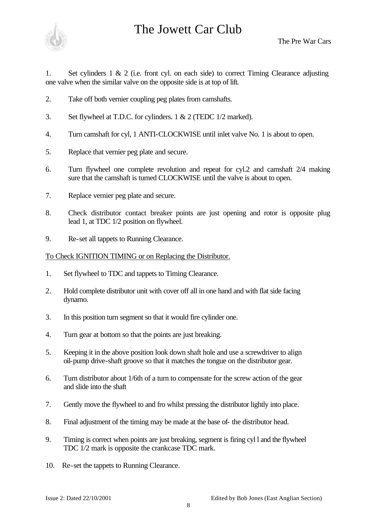

1. Set cylinders 1 & 2 (i.e. front cyl. on each side) to correct Timing Clearance adjusting one valve when the similar valve on the opposite side is at top of lift.

- 2. Take off both vernier coupling peg plates from camshafts.
- 3. Set flywheel at T.D.C. for cylinders. 1 & 2 (TEDC 1/2 marked).
- 4. Turn camshaft for cyl, 1 ANTI-CLOCKWISE until inlet valve No. 1 is about to open.
- 5. Replace that vernier peg plate and secure.
- 6. Turn flywheel one complete revolution and repeat for cyl.2 and camshaft 2/4 making sure that the camshaft is turned CLOCKWISE until the valve is about to open.
- 7. Replace vernier peg plate and secure.
- 8. Check distributor contact breaker points are just opening and rotor is opposite plug lead 1, at TDC 1/2 position on flywheel.
- 9. Re-set all tappets to Running Clearance.

#### To Check IGNITION TIMING or on Replacing the Distributor.

- 1. Set flywheel to TDC and tappets to Timing Clearance.
- 2. Hold complete distributor unit with cover off all in one hand and with flat side facing dynamo.
- 3. In this position turn segment so that it would fire cylinder one.
- 4. Turn gear at bottom so that the points are just breaking.
- 5. Keeping it in the above position look down shaft hole and use a screwdriver to align oil-pump drive-shaft groove so that it matches the tongue on the distributor gear.
- 6. Turn distributor about 1/6th of a turn to compensate for the screw action of the gear and slide into the shaft
- 7. Gently move the flywheel to and fro whilst pressing the distributor lightly into place.
- 8. Final adjustment of the timing may be made at the base of- the distributor head.
- 9. Timing is correct when points are just breaking, segment is firing cyl l and the flywheel TDC 1/2 mark is opposite the crankcase TDC mark.
- 10. Re-set the tappets to Running Clearance.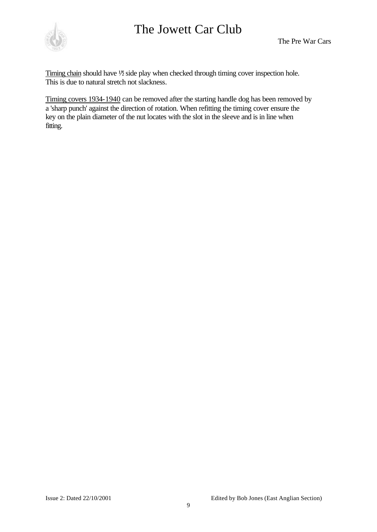

Timing chain should have <sup>1/2</sup> side play when checked through timing cover inspection hole. This is due to natural stretch not slackness.

Timing covers 1934-1940 can be removed after the starting handle dog has been removed by a 'sharp punch' against the direction of rotation. When refitting the timing cover ensure the key on the plain diameter of the nut locates with the slot in the sleeve and is in line when fitting.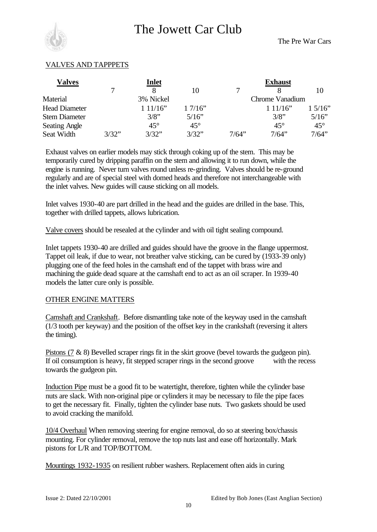

#### VALVES AND TAPPPETS

| <b>Valves</b>        |       | Inlet        |              | <b>Exhaust</b> |                 |              |
|----------------------|-------|--------------|--------------|----------------|-----------------|--------------|
|                      |       | X            | 10           |                |                 | 10           |
| Material             |       | 3% Nickel    |              |                | Chrome Vanadium |              |
| <b>Head Diameter</b> |       | 11/16"       | 17/16"       |                | 111/16"         | 15/16"       |
| <b>Stem Diameter</b> |       | 3/8"         | 5/16"        |                | 3/8"            | 5/16"        |
| <b>Seating Angle</b> |       | $45^{\circ}$ | $45^{\circ}$ |                | $45^{\circ}$    | $45^{\circ}$ |
| Seat Width           | 3/32" | 3/32"        | 3/32"        | 7/64"          | 7/64"           | 7/64"        |

Exhaust valves on earlier models may stick through coking up of the stem. This may be temporarily cured by dripping paraffin on the stem and allowing it to run down, while the engine is running. Never turn valves round unless re-grinding. Valves should be re-ground regularly and are of special steel with domed heads and therefore not interchangeable with the inlet valves. New guides will cause sticking on all models.

Inlet valves 1930-40 are part drilled in the head and the guides are drilled in the base. This, together with drilled tappets, allows lubrication.

Valve covers should be resealed at the cylinder and with oil tight sealing compound.

Inlet tappets 1930-40 are drilled and guides should have the groove in the flange uppermost. Tappet oil leak, if due to wear, not breather valve sticking, can be cured by (1933-39 only) plugging one of the feed holes in the camshaft end of the tappet with brass wire and machining the guide dead square at the camshaft end to act as an oil scraper. In 1939-40 models the latter cure only is possible.

#### OTHER ENGINE MATTERS

Camshaft and Crankshaft. Before dismantling take note of the keyway used in the camshaft (1/3 tooth per keyway) and the position of the offset key in the crankshaft (reversing it alters the timing).

Pistons (7 & 8) Bevelled scraper rings fit in the skirt groove (bevel towards the gudgeon pin). If oil consumption is heavy, fit stepped scraper rings in the second groove with the recess towards the gudgeon pin.

Induction Pipe must be a good fit to be watertight, therefore, tighten while the cylinder base nuts are slack. With non-original pipe or cylinders it may be necessary to file the pipe faces to get the necessary fit. Finally, tighten the cylinder base nuts. Two gaskets should be used to avoid cracking the manifold.

10/4 Overhaul When removing steering for engine removal, do so at steering box/chassis mounting. For cylinder removal, remove the top nuts last and ease off horizontally. Mark pistons for L/R and TOP/BOTTOM.

Mountings 1932-1935 on resilient rubber washers. Replacement often aids in curing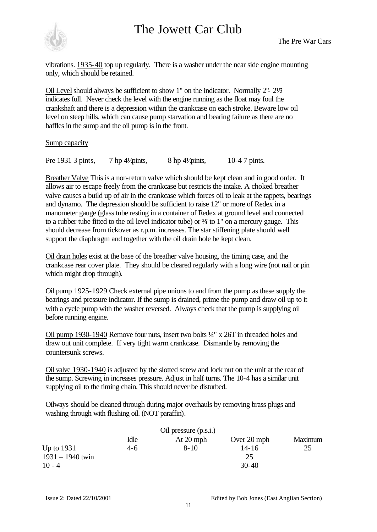

vibrations. 1935-40 top up regularly. There is a washer under the near side engine mounting only, which should be retained.

Oil Level should always be sufficient to show 1" on the indicator. Normally 2"- 2½" indicates full. Never check the level with the engine running as the float may foul the crankshaft and there is a depression within the crankcase on each stroke. Beware low oil level on steep hills, which can cause pump starvation and bearing failure as there are no baffles in the sump and the oil pump is in the front.

Sump capacity

Pre 1931 3 pints, 7 hp 4½ pints, 8 hp 4½ pints, 10-4 7 pints.

Breather Valve This is a non-return valve which should be kept clean and in good order. It allows air to escape freely from the crankcase but restricts the intake. A choked breather valve causes a build up of air in the crankcase which forces oil to leak at the tappets, bearings and dynamo. The depression should be sufficient to raise 12" or more of Redex in a manometer gauge (glass tube resting in a container of Redex at ground level and connected to a rubber tube fitted to the oil level indicator tube) or ¾" to 1" on a mercury gauge. This should decrease from tickover as r.p.m. increases. The star stiffening plate should well support the diaphragm and together with the oil drain hole be kept clean.

Oil drain holes exist at the base of the breather valve housing, the timing case, and the crankcase rear cover plate. They should be cleared regularly with a long wire (not nail or pin which might drop through).

Oil pump 1925-1929 Check external pipe unions to and from the pump as these supply the bearings and pressure indicator. If the sump is drained, prime the pump and draw oil up to it with a cycle pump with the washer reversed. Always check that the pump is supplying oil before running engine.

Oil pump 1930-1940 Remove four nuts, insert two bolts ¼" x 26T in threaded holes and draw out unit complete. If very tight warm crankcase. Dismantle by removing the countersunk screws.

Oil valve 1930-1940 is adjusted by the slotted screw and lock nut on the unit at the rear of the sump. Screwing in increases pressure. Adjust in half turns. The 10-4 has a similar unit supplying oil to the timing chain. This should never be disturbed.

Oilways should be cleaned through during major overhauls by removing brass plugs and washing through with flushing oil. (NOT paraffin).

|                    |      | Oil pressure (p.s.i.) |             |                |
|--------------------|------|-----------------------|-------------|----------------|
|                    | Idle | At $20$ mph           | Over 20 mph | <b>Maximum</b> |
| Up to 1931         | 4-6  | $8 - 10$              | 14-16       | 25             |
| $1931 - 1940$ twin |      |                       | 25          |                |
| $10 - 4$           |      |                       | $30-40$     |                |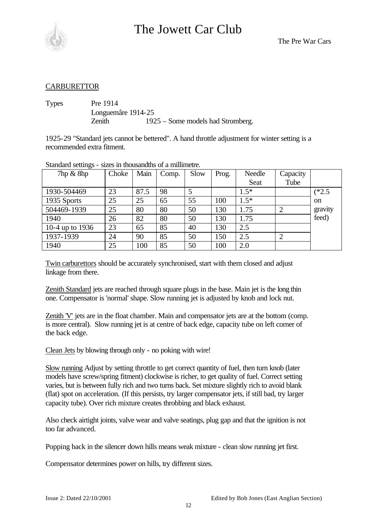

#### CARBURETTOR

Types Pre 1914 Longuemâre 1914-25 Zenith 1925 – Some models had Stromberg.

1925-29 "Standard jets cannot be bettered". A hand throttle adjustment for winter setting is a recommended extra fitment.

| $7$ hp $\&$ 8hp | Choke | Main | Comp. | Slow | Prog. | Needle | Capacity       |               |
|-----------------|-------|------|-------|------|-------|--------|----------------|---------------|
|                 |       |      |       |      |       | Seat   | Tube           |               |
| 1930-504469     | 23    | 87.5 | 98    | -5   |       | $1.5*$ |                | $(*2.5)$      |
| 1935 Sports     | 25    | 25   | 65    | 55   | 100   | $1.5*$ |                | <sub>on</sub> |
| 504469-1939     | 25    | 80   | 80    | 50   | 130   | 1.75   |                | gravity       |
| 1940            | 26    | 82   | 80    | 50   | 130   | 1.75   |                | feed)         |
| 10-4 up to 1936 | 23    | 65   | 85    | 40   | 130   | 2.5    |                |               |
| 1937-1939       | 24    | 90   | 85    | 50   | 150   | 2.5    | $\overline{2}$ |               |
| 1940            | 25    | 100  | 85    | 50   | 100   | 2.0    |                |               |

Standard settings - sizes in thousandths of a millimetre.

Twin carburettors should be accurately synchronised, start with them closed and adjust linkage from there.

Zenith Standard jets are reached through square plugs in the base. Main jet is the long thin one. Compensator is 'normal' shape. Slow running jet is adjusted by knob and lock nut.

Zenith 'V' jets are in the float chamber. Main and compensator jets are at the bottom (comp. is more central). Slow running jet is at centre of back edge, capacity tube on left corner of the back edge.

Clean Jets by blowing through only - no poking with wire!

Slow running Adjust by setting throttle to get correct quantity of fuel, then turn knob (later models have screw/spring fitment) clockwise is richer, to get quality of fuel. Correct setting varies, but is between fully rich and two turns back. Set mixture slightly rich to avoid blank (flat) spot on acceleration. (If this persists, try larger compensator jets, if still bad, try larger capacity tube). Over rich mixture creates throbbing and black exhaust.

Also check airtight joints, valve wear and valve seatings, plug gap and that the ignition is not too far advanced.

Popping back in the silencer down hills means weak mixture - clean slow running jet first.

Compensator determines power on hills, try different sizes.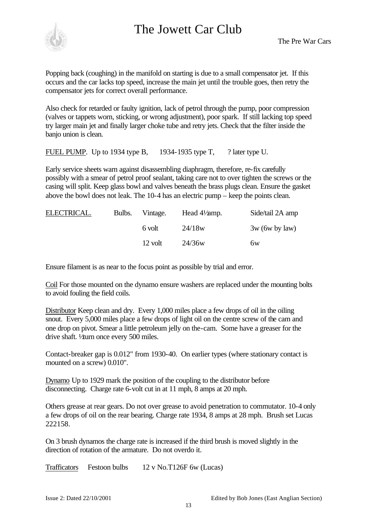

Popping back (coughing) in the manifold on starting is due to a small compensator jet. If this occurs and the car lacks top speed, increase the main jet until the trouble goes, then retry the compensator jets for correct overall performance.

Also check for retarded or faulty ignition, lack of petrol through the pump, poor compression (valves or tappets worn, sticking, or wrong adjustment), poor spark. If still lacking top speed try larger main jet and finally larger choke tube and retry jets. Check that the filter inside the banjo union is clean.

FUEL PUMP. Up to 1934 type B, 1934-1935 type T, ? later type U.

Early service sheets warn against disassembling diaphragm, therefore, re-fix carefully possibly with a smear of petrol proof sealant, taking care not to over tighten the screws or the casing will split. Keep glass bowl and valves beneath the brass plugs clean. Ensure the gasket above the bowl does not leak. The 10-4 has an electric pump – keep the points clean.

| ELECTRICAL. | Bulbs. | Vintage. | Head $4\frac{1}{\text{amp}}$ . | Side/tail 2A amp |
|-------------|--------|----------|--------------------------------|------------------|
|             |        | 6 volt   | 24/18w                         | $3w$ (6w by law) |
|             |        | 12 volt  | 24/36w                         | 6w               |

Ensure filament is as near to the focus point as possible by trial and error.

Coil For those mounted on the dynamo ensure washers are replaced under the mounting bolts to avoid fouling the field coils.

Distributor Keep clean and dry. Every 1,000 miles place a few drops of oil in the oiling snout. Every 5,000 miles place a few drops of light oil on the centre screw of the cam and one drop on pivot. Smear a little petroleum jelly on the-cam. Some have a greaser for the drive shaft. 1/2 turn once every 500 miles.

Contact-breaker gap is 0.012" from 1930-40. On earlier types (where stationary contact is mounted on a screw) 0.010".

Dynamo Up to 1929 mark the position of the coupling to the distributor before disconnecting. Charge rate 6-volt cut in at 11 mph, 8 amps at 20 mph.

Others grease at rear gears. Do not over grease to avoid penetration to commutator. 10-4 only a few drops of oil on the rear bearing. Charge rate 1934, 8 amps at 28 mph. Brush set Lucas 222158.

On 3 brush dynamos the charge rate is increased if the third brush is moved slightly in the direction of rotation of the armature. Do not overdo it.

Trafficators Festoon bulbs 12 v No.T126F 6w (Lucas)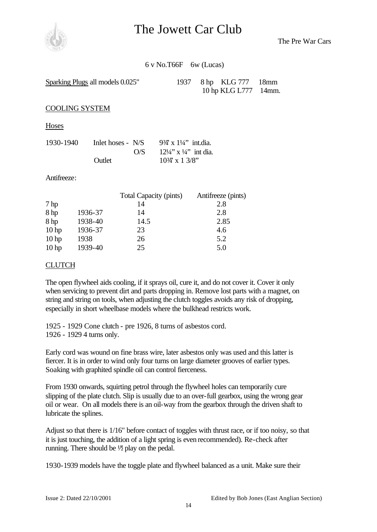

The Pre War Cars

 $6 \text{ v No.}$  T66F  $6 \text{ w (Lucas)}$ 

Sparking Plugs all models 0.025" 1937 8 hp KLG 777 18mm 10 hp KLG L777 14mm.

COOLING SYSTEM

Hoses

| 1930-1940 | Inlet hoses - $N/S$ |     | $9\frac{3}{4} \times 1\frac{1}{4}$ int.dia.  |
|-----------|---------------------|-----|----------------------------------------------|
|           |                     | O/S | $12\frac{1}{4}$ , x $\frac{1}{4}$ , int dia. |
|           | Outlet              |     | $10\frac{3}{4} \times 13\frac{8}{3}$         |

Antifreeze:

|                  |         | Total Capacity (pints) | Antifreeze (pints) |
|------------------|---------|------------------------|--------------------|
| 7 hp             |         | 14                     | 2.8                |
| 8 hp             | 1936-37 | 14                     | 2.8                |
| 8 <sub>hp</sub>  | 1938-40 | 14.5                   | 2.85               |
| 10 <sub>hp</sub> | 1936-37 | 23                     | 4.6                |
| 10 <sub>hp</sub> | 1938    | 26                     | 5.2                |
| 10 <sub>hp</sub> | 1939-40 | 25                     | 5.0                |

#### CLUTCH

The open flywheel aids cooling, if it sprays oil, cure it, and do not cover it. Cover it only when servicing to prevent dirt and parts dropping in. Remove lost parts with a magnet, on string and string on tools, when adjusting the clutch toggles avoids any risk of dropping, especially in short wheelbase models where the bulkhead restricts work.

1925 - 1929 Cone clutch - pre 1926, 8 turns of asbestos cord. 1926 - 1929 4 turns only.

Early cord was wound on fine brass wire, later asbestos only was used and this latter is fiercer. It is in order to wind only four turns on large diameter grooves of earlier types. Soaking with graphited spindle oil can control fierceness.

From 1930 onwards, squirting petrol through the flywheel holes can temporarily cure slipping of the plate clutch. Slip is usually due to an over-full gearbox, using the wrong gear oil or wear. On all models there is an oil-way from the gearbox through the driven shaft to lubricate the splines.

Adjust so that there is 1/16" before contact of toggles with thrust race, or if too noisy, so that it is just touching, the addition of a light spring is even recommended). Re-check after running. There should be  $\frac{1}{2}$  play on the pedal.

1930-1939 models have the toggle plate and flywheel balanced as a unit. Make sure their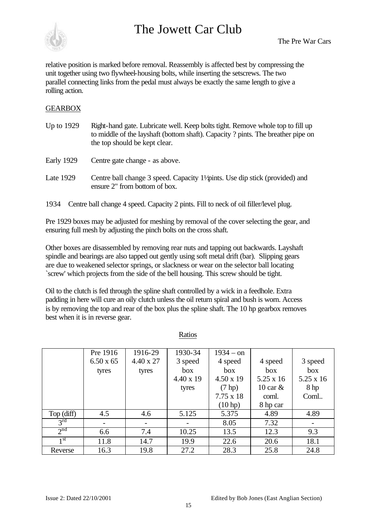

relative position is marked before removal. Reassembly is affected best by compressing the unit together using two flywheel-housing bolts, while inserting the setscrews. The two parallel connecting links from the pedal must always be exactly the same length to give a rolling action.

#### GEARBOX

| Up to 1929        | Right-hand gate. Lubricate well. Keep bolts tight. Remove whole top to fill up<br>to middle of the layshaft (bottom shaft). Capacity? pints. The breather pipe on<br>the top should be kept clear. |
|-------------------|----------------------------------------------------------------------------------------------------------------------------------------------------------------------------------------------------|
| <b>Early 1929</b> | Centre gate change - as above.                                                                                                                                                                     |
| Late 1929         | Centre ball change 3 speed. Capacity 1/pints. Use dip stick (provided) and<br>ensure 2" from bottom of box.                                                                                        |
| 1934              | Centre ball change 4 speed. Capacity 2 pints. Fill to neck of oil filler/level plug.                                                                                                               |

Pre 1929 boxes may be adjusted for meshing by removal of the cover selecting the gear, and ensuring full mesh by adjusting the pinch bolts on the cross shaft.

Other boxes are disassembled by removing rear nuts and tapping out backwards. Layshaft spindle and bearings are also tapped out gently using soft metal drift (bar). Slipping gears are due to weakened selector springs, or slackness or wear on the selector ball locating `screw' which projects from the side of the bell housing. This screw should be tight.

Oil to the clutch is fed through the spline shaft controlled by a wick in a feedhole. Extra padding in here will cure an oily clutch unless the oil return spiral and bush is worn. Access is by removing the top and rear of the box plus the spline shaft. The 10 hp gearbox removes best when it is in reverse gear.

|                 | Pre 1916         | 1916-29          | 1930-34          | $1934 - on$      |                  |                 |
|-----------------|------------------|------------------|------------------|------------------|------------------|-----------------|
|                 | $6.50 \times 65$ | $4.40 \times 27$ | 3 speed          | 4 speed          | 4 speed          | 3 speed         |
|                 | tyres            | tyres            | box              | box              | box              | box             |
|                 |                  |                  | $4.40 \times 19$ | $4.50 \times 19$ | $5.25 \times 16$ | 5.25 x 16       |
|                 |                  |                  | tyres            | (7 hp)           | 10 car $\&$      | 8 <sub>hp</sub> |
|                 |                  |                  |                  | $7.75 \times 18$ | coml.            | Coml            |
|                 |                  |                  |                  | $(10$ hp)        | 8 hp car         |                 |
| Top (diff)      | 4.5              | 4.6              | 5.125            | 5.375            | 4.89             | 4.89            |
| 3 <sup>rd</sup> |                  |                  |                  | 8.05             | 7.32             |                 |
| 2 <sup>nd</sup> | 6.6              | 7.4              | 10.25            | 13.5             | 12.3             | 9.3             |
| 1 <sup>st</sup> | 11.8             | 14.7             | 19.9             | 22.6             | 20.6             | 18.1            |
| Reverse         | 16.3             | 19.8             | 27.2             | 28.3             | 25.8             | 24.8            |

Ratios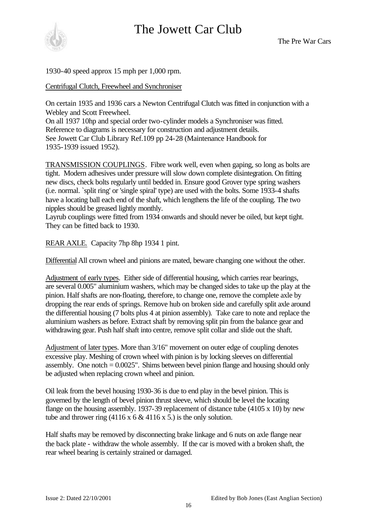

#### 1930-40 speed approx 15 mph per 1,000 rpm.

#### Centrifugal Clutch, Freewheel and Synchroniser

On certain 1935 and 1936 cars a Newton Centrifugal Clutch was fitted in conjunction with a Webley and Scott Freewheel.

On all 1937 10hp and special order two-cylinder models a Synchroniser was fitted. Reference to diagrams is necessary for construction and adjustment details. See Jowett Car Club Library Ref.109 pp 24-28 (Maintenance Handbook for 1935-1939 issued 1952).

TRANSMISSION COUPLINGS. Fibre work well, even when gaping, so long as bolts are tight. Modern adhesives under pressure will slow down complete disintegration. On fitting new discs, check bolts regularly until bedded in. Ensure good Grover type spring washers (i.e. normal. `split ring' or 'single spiral' type) are used with the bolts. Some 1933-4 shafts have a locating ball each end of the shaft, which lengthens the life of the coupling. The two nipples should be greased lightly monthly.

Layrub couplings were fitted from 1934 onwards and should never be oiled, but kept tight. They can be fitted back to 1930.

REAR AXLE. Capacity 7hp 8hp 1934 1 pint.

Differential All crown wheel and pinions are mated, beware changing one without the other.

Adjustment of early types. Either side of differential housing, which carries rear bearings, are several 0.005" aluminium washers, which may be changed sides to take up the play at the pinion. Half shafts are non-floating, therefore, to change one, remove the complete axle by dropping the rear ends of springs. Remove hub on broken side and carefully split axle around the differential housing (7 bolts plus 4 at pinion assembly). Take care to note and replace the aluminium washers as before. Extract shaft by removing split pin from the balance gear and withdrawing gear. Push half shaft into centre, remove split collar and slide out the shaft.

Adjustment of later types. More than 3/16" movement on outer edge of coupling denotes excessive play. Meshing of crown wheel with pinion is by locking sleeves on differential assembly. One notch  $= 0.0025$ ". Shims between bevel pinion flange and housing should only be adjusted when replacing crown wheel and pinion.

Oil leak from the bevel housing 1930-36 is due to end play in the bevel pinion. This is governed by the length of bevel pinion thrust sleeve, which should be level the locating flange on the housing assembly. 1937-39 replacement of distance tube (4105 x 10) by new tube and thrower ring  $(4116 \times 6 \& 4116 \times 5)$  is the only solution.

Half shafts may be removed by disconnecting brake linkage and 6 nuts on axle flange near the back plate - withdraw the whole assembly. If the car is moved with a broken shaft, the rear wheel bearing is certainly strained or damaged.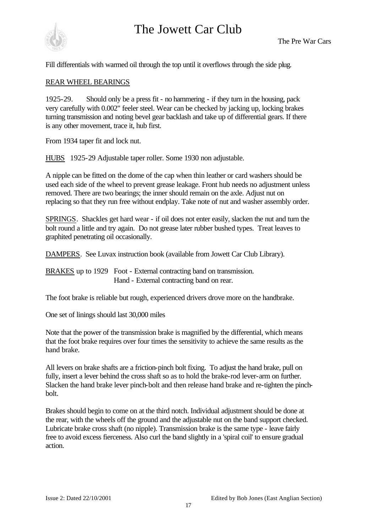

Fill differentials with warmed oil through the top until it overflows through the side plug.

#### REAR WHEEL BEARINGS

1925-29. Should only be a press fit - no hammering - if they turn in the housing, pack very carefully with 0.002" feeler steel. Wear can be checked by jacking up, locking brakes turning transmission and noting bevel gear backlash and take up of differential gears. If there is any other movement, trace it, hub first.

From 1934 taper fit and lock nut.

HUBS 1925-29 Adjustable taper roller. Some 1930 non adjustable.

A nipple can be fitted on the dome of the cap when thin leather or card washers should be used each side of the wheel to prevent grease leakage. Front hub needs no adjustment unless removed. There are two bearings; the inner should remain on the axle. Adjust nut on replacing so that they run free without endplay. Take note of nut and washer assembly order.

SPRINGS. Shackles get hard wear - if oil does not enter easily, slacken the nut and turn the bolt round a little and try again. Do not grease later rubber bushed types. Treat leaves to graphited penetrating oil occasionally.

DAMPERS. See Luvax instruction book (available from Jowett Car Club Library).

BRAKES up to 1929 Foot - External contracting band on transmission. Hand - External contracting band on rear.

The foot brake is reliable but rough, experienced drivers drove more on the handbrake.

One set of linings should last 30,000 miles

Note that the power of the transmission brake is magnified by the differential, which means that the foot brake requires over four times the sensitivity to achieve the same results as the hand brake.

All levers on brake shafts are a friction-pinch bolt fixing. To adjust the hand brake, pull on fully, insert a lever behind the cross shaft so as to hold the brake-rod lever-arm on further. Slacken the hand brake lever pinch-bolt and then release hand brake and re-tighten the pinchbolt.

Brakes should begin to come on at the third notch. Individual adjustment should be done at the rear, with the wheels off the ground and the adjustable nut on the band support checked. Lubricate brake cross shaft (no nipple). Transmission brake is the same type - leave fairly free to avoid excess fierceness. Also curl the band slightly in a 'spiral coil' to ensure gradual action.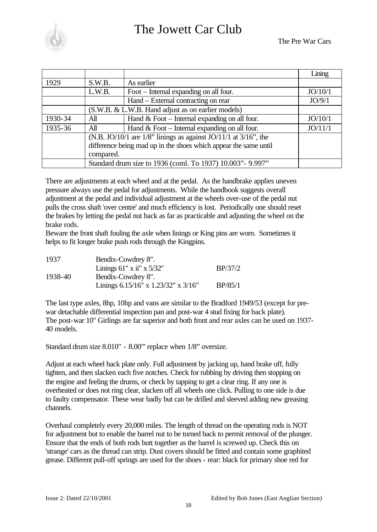

|         |                                                                  |                                                                       | Lining  |  |  |
|---------|------------------------------------------------------------------|-----------------------------------------------------------------------|---------|--|--|
| 1929    | S.W.B.                                                           | As earlier                                                            |         |  |  |
|         | L.W.B.                                                           | Foot – Internal expanding on all four.                                | JO/10/1 |  |  |
|         |                                                                  | Hand – External contracting on rear                                   | JO/9/1  |  |  |
|         |                                                                  | (S.W.B. & L.W.B. Hand adjust as on earlier models)                    |         |  |  |
| 1930-34 | All                                                              | Hand $&$ Foot – Internal expanding on all four.                       | JO/10/1 |  |  |
| 1935-36 | All                                                              | Hand $&$ Foot – Internal expanding on all four.                       | JO/11/1 |  |  |
|         |                                                                  | (N.B. JO/10/1 are $1/8$ " linings as against JO/11/1 at $3/16$ ", the |         |  |  |
|         | difference being mad up in the shoes which appear the same until |                                                                       |         |  |  |
|         | compared.                                                        |                                                                       |         |  |  |
|         |                                                                  | Standard drum size to 1936 (coml. To 1937) 10.003"- 9.997"            |         |  |  |

There are adjustments at each wheel and at the pedal. As the handbrake applies uneven pressure always use the pedal for adjustments. While the handbook suggests overall adjustment at the pedal and individual adjustment at the wheels over-use of the pedal nut pulls the cross shaft 'over centre' and much efficiency is lost. Periodically one should reset the brakes by letting the pedal nut back as far as practicable and adjusting the wheel on the brake rods.

Beware the front shaft fouling the axle when linings or King pins are worn. Sometimes it helps to fit longer brake push rods through the Kingpins.

| 1937    | Bendix-Cowdrey 8".                           |         |
|---------|----------------------------------------------|---------|
|         | Linings $61''$ x ii" x $5/32''$              | BP/37/2 |
| 1938-40 | Bendix-Cowdrey 8".                           |         |
|         | Linings $6.15/16''$ x $1.23/32''$ x $3/16''$ | BP/85/1 |

The last type axles, 8hp, 10hp and vans are similar to the Bradford 1949/53 (except for prewar detachable differential inspection pan and post-war 4 stud fixing for back plate). The post-war 10" Girlings are far superior and both front and rear axles can be used on 1937- 40 models.

Standard drum size 8.010" - 8.00"' replace when 1/8" oversize.

Adjust at each wheel back plate only. Full adjustment by jacking up, hand brake off, fully tighten, and then slacken each five notches. Check for rubbing by driving then stopping on the engine and feeling the drums, or check by tapping to get a clear ring. If any one is overheated or does not ring clear, slacken off all wheels one click. Pulling to one side is due to faulty compensator. These wear badly but can be drilled and sleeved adding new greasing channels.

Overhaul completely every 20,000 miles. The length of thread on the operating rods is NOT for adjustment but to enable the barrel nut to be turned back to permit removal of the plunger. Ensure that the ends of both rods butt together as the barrel is screwed up. Check this on 'strange' cars as the thread can strip. Dust covers should be fitted and contain some graphited grease. Different pull-off springs are used for the shoes - rear: black for primary shoe red for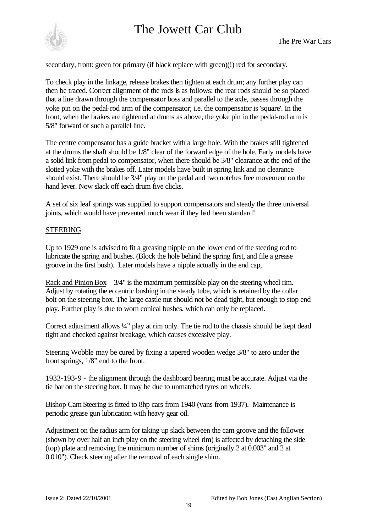

secondary, front: green for primary (if black replace with green)(!) red for secondary.

To check play in the linkage, release brakes then tighten at each drum; any further play can then be traced. Correct alignment of the rods is as follows: the rear rods should be so placed that a line drawn through the compensator boss and parallel to the axle, passes through the yoke pin on the pedal-rod arm of the compensator; i.e. the compensator is 'square'. In the front, when the brakes are tightened at drums as above, the yoke pin in the pedal-rod arm is 5/8" forward of such a parallel line.

The centre compensator has a guide bracket with a large hole. With the brakes still tightened at the drums the shaft should be 1/8" clear of the forward edge of the hole. Early models have a solid link frompedal to compensator, when there should be 3/8" clearance at the end of the slotted yoke with the brakes off. Later models have built in spring link and no clearance should exist. There should be 3/4" play on the pedal and two notches free movement on the hand lever. Now slack off each drum five clicks.

A set of six leaf springs was supplied to support compensators and steady the three universal joints, which would have prevented much wear if they had been standard!

#### STEERING

Up to 1929 one is advised to fit a greasing nipple on the lower end of the steering rod to lubricate the spring and bushes. (Block the hole behind the spring first, and file a grease groove in the first bush). Later models have a nipple actually in the end cap,

Rack and Pinion Box  $3/4$ " is the maximum permissible play on the steering wheel rim. Adjust by rotating the eccentric bushing in the steady tube, which is retained by the collar bolt on the steering box. The large castle nut should not be dead tight, but enough to stop end play. Further play is due to worn conical bushes, which can only be replaced.

Correct adjustment allows ¼" play at rim only. The tie rod to the chassis should be kept dead tight and checked against breakage, which causes excessive play.

Steering Wobble may be cured by fixing a tapered wooden wedge 3/8" to zero under the front springs, 1/8" end to the front.

1933-193-9 - the alignment through the dashboard bearing must be accurate. Adjust via the tie bar on the steering box. It may be due to unmatched tyres on wheels.

Bishop Cam Steering is fitted to 8hp cars from 1940 (vans from 1937). Maintenance is periodic grease gun lubrication with heavy gear oil.

Adjustment on the radius arm for taking up slack between the cam groove and the follower (shown by over half an inch play on the steering wheel rim) is affected by detaching the side (top) plate and removing the minimum number of shims (originally 2 at 0.003" and 2 at 0.010"). Check steering after the removal of each single shim.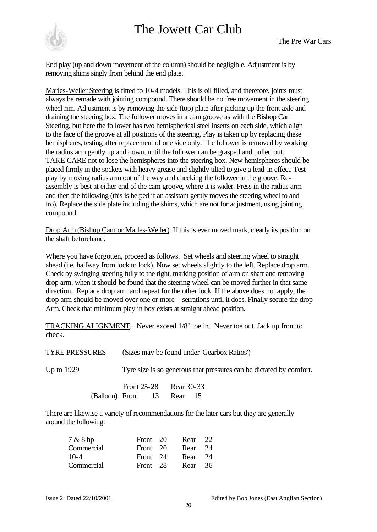

End play (up and down movement of the column) should be negligible. Adjustment is by removing shims singly from behind the end plate.

Marles-Weller Steering is fitted to 10-4 models. This is oil filled, and therefore, joints must always be remade with jointing compound. There should be no free movement in the steering wheel rim. Adjustment is by removing the side (top) plate after jacking up the front axle and draining the steering box. The follower moves in a cam groove as with the Bishop Cam Steering, but here the follower has two hemispherical steel inserts on each side, which align to the face of the groove at all positions of the steering. Play is taken up by replacing these hemispheres, testing after replacement of one side only. The follower is removed by working the radius arm gently up and down, until the follower can be grasped and pulled out. TAKE CARE not to lose the hemispheres into the steering box. New hemispheres should be placed firmly in the sockets with heavy grease and slightly tilted to give a lead-in effect. Test play by moving radius arm out of the way and checking the follower in the groove. Reassembly is best at either end of the cam groove, where it is wider. Press in the radius arm and then the following (this is helped if an assistant gently moves the steering wheel to and fro). Replace the side plate including the shims, which are not for adjustment, using jointing compound.

Drop Arm (Bishop Cam or Marles-Weller). If this is ever moved mark, clearly its position on the shaft beforehand.

Where you have forgotten, proceed as follows. Set wheels and steering wheel to straight ahead (i.e. halfway from lock to lock). Now set wheels slightly to the left. Replace drop arm. Check by swinging steering fully to the right, marking position of arm on shaft and removing drop arm, when it should be found that the steering wheel can be moved further in that same direction. Replace drop arm and repeat for the other lock. If the above does not apply, the drop arm should be moved over one or more serrations until it does. Finally secure the drop Arm. Check that minimum play in box exists at straight ahead position.

TRACKING ALIGNMENT. Never exceed 1/8" toe in. Never toe out. Jack up front to check.

TYRE PRESSURES (Sizes may be found under 'Gearbox Ratios')

Up to 1929 Tyre size is so generous that pressures can be dictated by comfort.

|                 | <b>Front 25-28</b> |  | Rear 30-33 |  |
|-----------------|--------------------|--|------------|--|
| (Balloon) Front |                    |  | 13 Rear 15 |  |

There are likewise a variety of recommendations for the later cars but they are generally around the following:

| 7 & 8 hp   | Front 20   | Rear    | $22^{\circ}$ |
|------------|------------|---------|--------------|
| Commercial | Front $20$ | Rear 24 |              |
| $10 - 4$   | Front 24   | Rear 24 |              |
| Commercial | Front 28   | Rear 36 |              |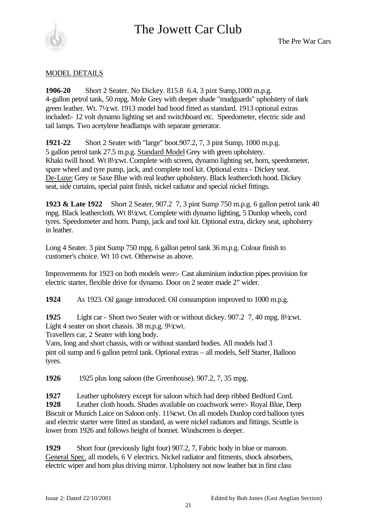

#### MODEL DETAILS

**1906-20** Short 2 Seater. No Dickey. 815.8 6.4, 3 pint Sump,1000 m.p.g. 4-gallon petrol tank, 50 mpg. Mole Grey with deeper shade "mudguards" upholstery of dark green leather. Wt.  $7\frac{1}{2}$  wt. 1913 model had hood fitted as standard. 1913 optional extras included:- 12 volt dynamo lighting set and switchboard etc. Speedometer, electric side and tail lamps. Two acetylene headlamps with separate generator.

**1921-22** Short 2 Seater with "large" boot.907.2, 7, 3 pint Sump, 1000 m.p.g. 5 gallon petrol tank 27.5 m.p.g. Standard Model Grey with green upholstery. Khaki twill hood. Wt 8½ wt. Complete with screen, dynamo lighting set, horn, speedometer, spare wheel and tyre pump, jack, and complete tool kit. Optional extra - Dickey seat. De-Luxe: Grey or Saxe Blue with real leather upholstery. Black leathercloth hood. Dickey seat, side curtains, special paint finish, nickel radiator and special nickel fittings.

**1923 & Late 1922** Short 2 Seater, 907.2 7, 3 pint Sump 750 m.p.g. 6 gallon petrol tank 40 mpg. Black leathercloth. Wt  $8\frac{1}{2}$  cwt. Complete with dynamo lighting, 5 Dunlop wheels, cord tyres. Speedometer and horn. Pump, jack and tool kit. Optional extra, dickey seat, upholstery in leather.

Long 4 Seater. 3 pint Sump 750 mpg. 6 gallon petrol tank 36 m.p.g. Colour finish to customer's choice. Wt 10 cwt. Otherwise as above.

Improvements for 1923 on both models were:- Cast aluminium induction pipes provision for electric starter, flexible drive for dynamo. Door on 2 seater made 2" wider.

**1924** As 1923. Oil gauge introduced. Oil consumption improved to 1000 m.p.g.

**1925** Light car - Short two Seater with or without dickey. 907.2 7, 40 mpg.  $8\frac{1}{2}$ wt. Light 4 seater on short chassis.  $38$  m.p.g.  $9\frac{\text{kg}}{\text{w}}$ .

Travellers car, 2 Seater with long body.

Vans, long and short chassis, with or without standard bodies. All models had 3 pint oil sump and 6 gallon petrol tank. Optional extras – all models, Self Starter, Balloon tyres.

**1926** 1925 plus long saloon (the Greenhouse). 907.2, 7, 35 mpg.

**1927** Leather upholstery except for saloon which had deep ribbed Bedford Cord.

**1928** Leather cloth hoods. Shades available on coachwork were:- Royal Blue, Deep Biscuit or Munich Laice on Saloon only. 11¾ cwt. On all models Dunlop cord balloon tyres and electric starter were fitted as standard, as were nickel radiators and fittings. Scuttle is lower from 1926 and follows height of bonnet. Windscreen is deeper.

**1929** Short four (previously light four) 907.2, 7, Fabric body in blue or maroon. General Spec. all models, 6 V electrics. Nickel radiator and fitments, shock absorbers, electric wiper and horn plus driving mirror. Upholstery not now leather but in first class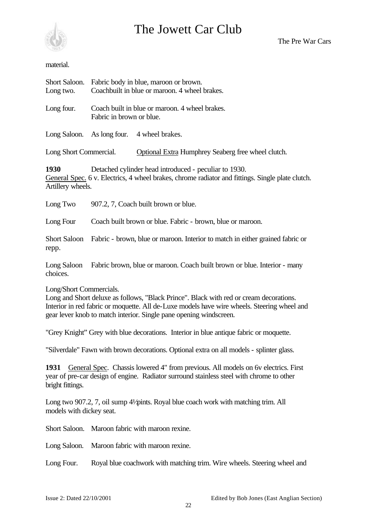

#### material.

| Short Saloon.<br>Long two.                                                                                                                                                                                                                                                             | Fabric body in blue, maroon or brown.<br>Coachbuilt in blue or maroon. 4 wheel brakes.                                                                    |  |  |  |  |
|----------------------------------------------------------------------------------------------------------------------------------------------------------------------------------------------------------------------------------------------------------------------------------------|-----------------------------------------------------------------------------------------------------------------------------------------------------------|--|--|--|--|
| Long four.                                                                                                                                                                                                                                                                             | Coach built in blue or maroon. 4 wheel brakes.<br>Fabric in brown or blue.                                                                                |  |  |  |  |
| Long Saloon.                                                                                                                                                                                                                                                                           | As long four.<br>4 wheel brakes.                                                                                                                          |  |  |  |  |
| Long Short Commercial.                                                                                                                                                                                                                                                                 | <b>Optional Extra Humphrey Seaberg free wheel clutch.</b>                                                                                                 |  |  |  |  |
| 1930<br>Artillery wheels.                                                                                                                                                                                                                                                              | Detached cylinder head introduced - peculiar to 1930.<br>General Spec. 6 v. Electrics, 4 wheel brakes, chrome radiator and fittings. Single plate clutch. |  |  |  |  |
| Long Two                                                                                                                                                                                                                                                                               | 907.2, 7, Coach built brown or blue.                                                                                                                      |  |  |  |  |
| Long Four                                                                                                                                                                                                                                                                              | Coach built brown or blue. Fabric - brown, blue or maroon.                                                                                                |  |  |  |  |
| repp.                                                                                                                                                                                                                                                                                  | Short Saloon Fabric - brown, blue or maroon. Interior to match in either grained fabric or                                                                |  |  |  |  |
| Long Saloon<br>choices.                                                                                                                                                                                                                                                                | Fabric brown, blue or maroon. Coach built brown or blue. Interior - many                                                                                  |  |  |  |  |
| Long/Short Commercials.<br>Long and Short deluxe as follows, "Black Prince". Black with red or cream decorations.<br>Interior in red fabric or moquette. All de-Luxe models have wire wheels. Steering wheel and<br>gear lever knob to match interior. Single pane opening windscreen. |                                                                                                                                                           |  |  |  |  |
|                                                                                                                                                                                                                                                                                        | "Grey Knight" Grey with blue decorations. Interior in blue antique fabric or moquette.                                                                    |  |  |  |  |
|                                                                                                                                                                                                                                                                                        | "Silverdale" Fawn with brown decorations. Optional extra on all models - splinter glass.                                                                  |  |  |  |  |
| General Spec. Chassis lowered 4" from previous. All models on 6v electrics. First<br>1931<br>year of pre-car design of engine. Radiator surround stainless steel with chrome to other<br>bright fittings.                                                                              |                                                                                                                                                           |  |  |  |  |
| models with dickey seat.                                                                                                                                                                                                                                                               | Long two 907.2, 7, oil sump 4½ pints. Royal blue coach work with matching trim. All                                                                       |  |  |  |  |

Short Saloon. Maroon fabric with maroon rexine.

Long Saloon. Maroon fabric with maroon rexine.

Long Four. Royal blue coachwork with matching trim. Wire wheels. Steering wheel and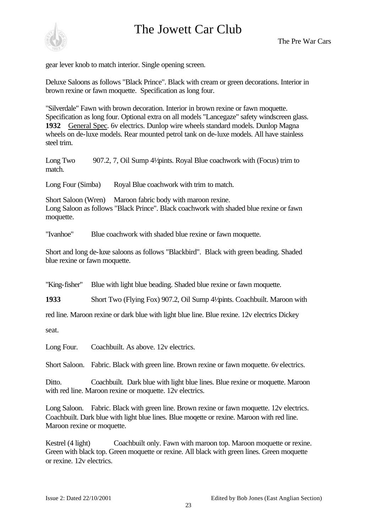

gear lever knob to match interior. Single opening screen.

Deluxe Saloons as follows "Black Prince". Black with cream or green decorations. Interior in brown rexine or fawn moquette. Specification as long four.

"Silverdale" Fawn with brown decoration. Interior in brown rexine or fawn moquette. Specification as long four. Optional extra on all models "Lancegaze" safety windscreen glass. **1932** General Spec. 6v electrics. Dunlop wire wheels standard models. Dunlop Magna wheels on de-luxe models. Rear mounted petrol tank on de-luxe models. All have stainless steel trim.

Long Two 907.2, 7, Oil Sump 4½ pints. Royal Blue coachwork with (Focus) trim to match.

Long Four (Simba) Royal Blue coachwork with trim to match.

Short Saloon (Wren) Maroon fabric body with maroon rexine. Long Saloon as follows "Black Prince". Black coachwork with shaded blue rexine or fawn moquette.

"Ivanhoe" Blue coachwork with shaded blue rexine or fawn moquette.

Short and long de-luxe saloons as follows "Blackbird". Black with green beading. Shaded blue rexine or fawn moquette.

"King-fisher" Blue with light blue beading. Shaded blue rexine or fawn moquette.

**1933** Short Two (Flying Fox) 907.2, Oil Sump 4½ pints. Coachbuilt. Maroon with

red line. Maroon rexine or dark blue with light blue line. Blue rexine. 12v electrics Dickey

seat.

Long Four. Coachbuilt. As above. 12v electrics.

Short Saloon. Fabric. Black with green line. Brown rexine or fawn moquette. 6v electrics.

Ditto. Coachbuilt. Dark blue with light blue lines. Blue rexine or moquette. Maroon with red line. Maroon rexine or moquette. 12y electrics.

Long Saloon. Fabric. Black with green line. Brown rexine or fawn moquette. 12v electrics. Coachbuilt. Dark blue with light blue lines. Blue moqette or rexine. Maroon with red line. Maroon rexine or moquette.

Kestrel (4 light) Coachbuilt only. Fawn with maroon top. Maroon moquette or rexine. Green with black top. Green moquette or rexine. All black with green lines. Green moquette or rexine. 12v electrics.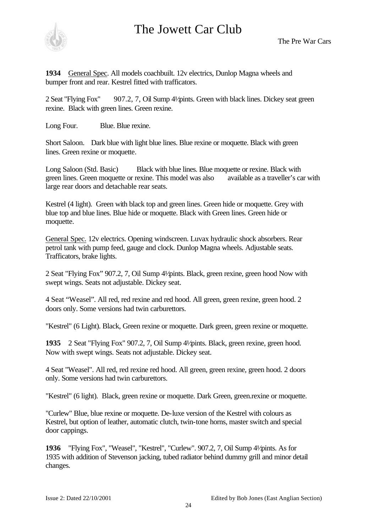

The Pre War Cars

**1934** General Spec. All models coachbuilt. 12v electrics, Dunlop Magna wheels and bumper front and rear. Kestrel fitted with trafficators.

2 Seat "Flying Fox" 907.2, 7, Oil Sump 4½ pints. Green with black lines. Dickey seat green rexine. Black with green lines. Green rexine.

Long Four. Blue. Blue rexine.

Short Saloon. Dark blue with light blue lines. Blue rexine or moquette. Black with green lines. Green rexine or moquette.

Long Saloon (Std. Basic) Black with blue lines. Blue moquette or rexine. Black with green lines. Green moquette or rexine. This model was also available as a traveller's car with large rear doors and detachable rear seats.

Kestrel (4 light). Green with black top and green lines. Green hide or moquette. Grey with blue top and blue lines. Blue hide or moquette. Black with Green lines. Green hide or moquette.

General Spec. 12v electrics. Opening windscreen. Luvax hydraulic shock absorbers. Rear petrol tank with pump feed, gauge and clock. Dunlop Magna wheels. Adjustable seats. Trafficators, brake lights.

2 Seat "Flying Fox" 907.2, 7, Oil Sump 4½ pints. Black, green rexine, green hood Now with swept wings. Seats not adjustable. Dickey seat.

4 Seat "Weasel". All red, red rexine and red hood. All green, green rexine, green hood. 2 doors only. Some versions had twin carburettors.

"Kestrel" (6 Light). Black, Green rexine or moquette. Dark green, green rexine or moquette.

**1935** 2 Seat "Flying Fox" 907.2, 7, Oil Sump 4½ pints. Black, green rexine, green hood. Now with swept wings. Seats not adjustable. Dickey seat.

4 Seat "Weasel". All red, red rexine red hood. All green, green rexine, green hood. 2 doors only. Some versions had twin carburettors.

"Kestrel" (6 light). Black, green rexine or moquette. Dark Green, green.rexine or moquette.

"Curlew" Blue, blue rexine or moquette. De-luxe version of the Kestrel with colours as Kestrel, but option of leather, automatic clutch, twin-tone horns, master switch and special door cappings.

**1936** "Flying Fox", "Weasel", "Kestrel", "Curlew". 907.2, 7, Oil Sump 4½ pints. As for 1935 with addition of Stevenson jacking, tubed radiator behind dummy grill and minor detail changes.